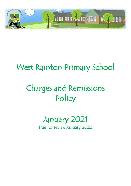

## West Rainton Primary School

# Charges and Remissions Policy

### January 2021 Due for review January 2022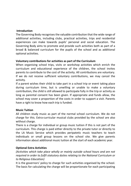#### **Introduction**

The Governing Body recognises the valuable contribution that the wide range of additional activities, including clubs, practical activities, trips and residential experiences can make towards pupils' personal and social education. The Governing Body aims to promote and provide such activities both as part of a broad & balanced curriculum for the pupils of the school and as additional optional activities.

#### **Voluntary contributions for activities as part of the Curriculum**

When organising school trips, visits or workshop activities which enrich the curriculum and educational experience of the children, the school invites parents to contribute to the cost of the activity. All contributions are voluntary. If we do not receive sufficient voluntary contributions, we may cancel the activity.

If a parent wishes their child to take part in a school trip or event taking place during curriculum time, but is unwilling or unable to make a voluntary contribution, the child is still allowed to participate fully in the trip or activity as long as parental consent has been given. If appropriate and funds allow, the school may cover a proportion of the costs in order to support a visit. Parents have a right to know how each trip is funded.

#### **Music Tuition**

All children study music as part of the normal school curriculum. We do not charge for this. Extra-curricular musical clubs provided by the school are also without charge.

There is a charge for individual or group music tuition if this is not part of the curriculum. This charge is paid either directly to the private tutor or directly to the LA Music Service which provides peripatetic music teachers to teach individuals or small group lessons on the school site. We give parents information about additional music tuition at the start of each academic year.

#### **Optional Extra Activities**

*(Activities which take place wholly or mainly outside school hours and are not required in order to fulfil statutory duties relating to the National Curriculum or to Religious Education)* 

It is the governors' policy to charge for such activities organised by the school. The basis for calculating the charge will be proportionate for each participating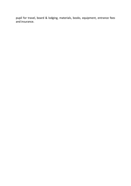pupil for travel, board & lodging, materials, books, equipment, entrance fees and insurance.